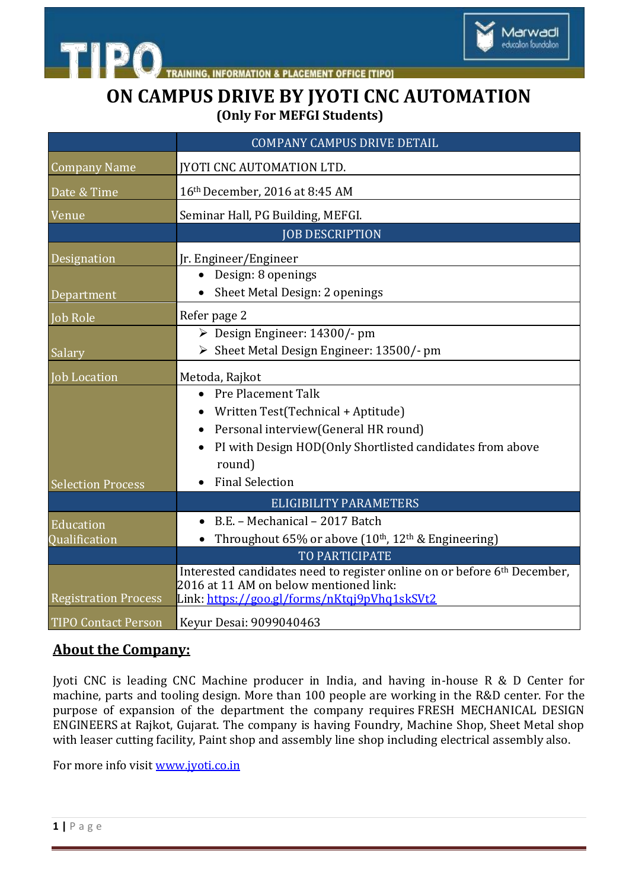



**ON CAMPUS DRIVE BY JYOTI CNC AUTOMATION (Only For MEFGI Students)**

|                             | <b>COMPANY CAMPUS DRIVE DETAIL</b>                                                                                 |
|-----------------------------|--------------------------------------------------------------------------------------------------------------------|
| <b>Company Name</b>         | <b>[YOTI CNC AUTOMATION LTD.</b>                                                                                   |
| Date & Time                 | 16th December, 2016 at 8:45 AM                                                                                     |
| Venue                       | Seminar Hall, PG Building, MEFGI.                                                                                  |
|                             | <b>JOB DESCRIPTION</b>                                                                                             |
| Designation                 | Jr. Engineer/Engineer                                                                                              |
|                             | Design: 8 openings                                                                                                 |
| Department                  | Sheet Metal Design: 2 openings                                                                                     |
| <b>Job Role</b>             | Refer page 2                                                                                                       |
|                             | $\triangleright$ Design Engineer: 14300/- pm                                                                       |
| Salary                      | > Sheet Metal Design Engineer: 13500/- pm                                                                          |
| Job Location                | Metoda, Rajkot                                                                                                     |
|                             | Pre Placement Talk                                                                                                 |
|                             | Written Test(Technical + Aptitude)                                                                                 |
|                             | Personal interview(General HR round)<br>$\bullet$                                                                  |
|                             | PI with Design HOD(Only Shortlisted candidates from above                                                          |
|                             | round)                                                                                                             |
| <b>Selection Process</b>    | <b>Final Selection</b>                                                                                             |
|                             | <b>ELIGIBILITY PARAMETERS</b>                                                                                      |
| Education                   | B.E. - Mechanical - 2017 Batch                                                                                     |
| Qualification               | Throughout 65% or above (10th, 12th & Engineering)                                                                 |
|                             | TO PARTICIPATE                                                                                                     |
|                             | Interested candidates need to register online on or before 6th December,<br>2016 at 11 AM on below mentioned link: |
| <b>Registration Process</b> | Link: https://goo.gl/forms/nKtqj9pVhq1skSVt2                                                                       |
| <b>TIPO Contact Person</b>  | Keyur Desai: 9099040463                                                                                            |

### **About the Company:**

Jyoti CNC is leading CNC Machine producer in India, and having in-house R & D Center for machine, parts and tooling design. More than 100 people are working in the R&D center. For the purpose of expansion of the department the company requires FRESH MECHANICAL DESIGN ENGINEERS at Rajkot, Gujarat. The company is having Foundry, Machine Shop, Sheet Metal shop with leaser cutting facility, Paint shop and assembly line shop including electrical assembly also.

For more info visit [www.jyoti.co.in](http://www.jyoti.co.in/)